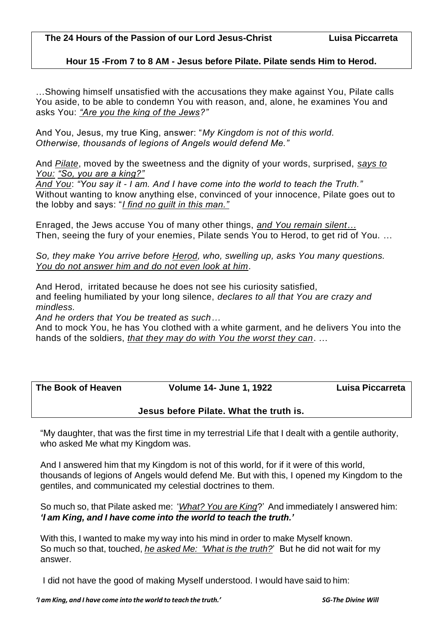## **Hour 15 -From 7 to 8 AM - Jesus before Pilate. Pilate sends Him to Herod.**

…Showing himself unsatisfied with the accusations they make against You, Pilate calls You aside, to be able to condemn You with reason, and, alone, he examines You and asks You: *"Are you the king of the Jews?"* 

And You, Jesus, my true King, answer: "*My Kingdom is not of this world. Otherwise, thousands of legions of Angels would defend Me."* 

And *Pilate*, moved by the sweetness and the dignity of your words, surprised, *says to You: "So, you are a king?"*

*And You*: *"You say it - I am. And I have come into the world to teach the Truth."*  Without wanting to know anything else, convinced of your innocence, Pilate goes out to the lobby and says: "*I find no guilt in this man."* 

Enraged, the Jews accuse You of many other things, *and You remain silent…* Then, seeing the fury of your enemies, Pilate sends You to Herod, to get rid of You. …

*So, they make You arrive before Herod, who, swelling up, asks You many questions. You do not answer him and do not even look at him*.

And Herod, irritated because he does not see his curiosity satisfied, and feeling humiliated by your long silence, *declares to all that You are crazy and mindless.*

*And he orders that You be treated as such…*

And to mock You, he has You clothed with a white garment, and he delivers You into the hands of the soldiers, *that they may do with You the worst they can*. …

**The Book of Heaven Volume 14- June 1, 1922 Luisa Piccarreta**

**Jesus before Pilate. What the truth is.**

"My daughter, that was the first time in my terrestrial Life that I dealt with a gentile authority, who asked Me what my Kingdom was.

And I answered him that my Kingdom is not of this world, for if it were of this world, thousands of legions of Angels would defend Me. But with this, I opened my Kingdom to the gentiles, and communicated my celestial doctrines to them.

So much so, that Pilate asked me: '*What? You are King*?' And immediately I answered him: *'I am King, and I have come into the world to teach the truth.'*

With this, I wanted to make my way into his mind in order to make Myself known. So much so that, touched, *he asked Me: 'What is the truth?*' But he did not wait for my answer.

I did not have the good of making Myself understood. I would have said to him: